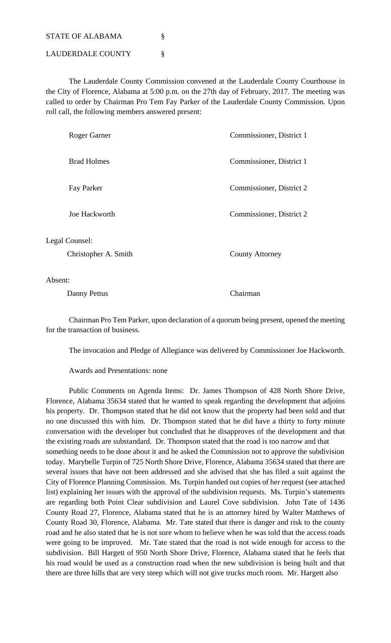STATE OF ALABAMA

LAUDERDALE COUNTY §

 The Lauderdale County Commission convened at the Lauderdale County Courthouse in the City of Florence, Alabama at 5:00 p.m. on the 27th day of February, 2017. The meeting was called to order by Chairman Pro Tem Fay Parker of the Lauderdale County Commission. Upon roll call, the following members answered present:

| Roger Garner                           | Commissioner, District 1 |
|----------------------------------------|--------------------------|
| <b>Brad Holmes</b>                     | Commissioner, District 1 |
| Fay Parker                             | Commissioner, District 2 |
| Joe Hackworth                          | Commissioner, District 2 |
| Legal Counsel:<br>Christopher A. Smith | <b>County Attorney</b>   |

Absent:

Danny Pettus Chairman

 Chairman Pro Tem Parker, upon declaration of a quorum being present, opened the meeting for the transaction of business.

The invocation and Pledge of Allegiance was delivered by Commissioner Joe Hackworth.

Awards and Presentations: none

 Public Comments on Agenda Items: Dr. James Thompson of 428 North Shore Drive, Florence, Alabama 35634 stated that he wanted to speak regarding the development that adjoins his property. Dr. Thompson stated that he did not know that the property had been sold and that no one discussed this with him. Dr. Thompson stated that he did have a thirty to forty minute conversation with the developer but concluded that he disapproves of the development and that the existing roads are substandard. Dr. Thompson stated that the road is too narrow and that something needs to be done about it and he asked the Commission not to approve the subdivision today. Marybelle Turpin of 725 North Shore Drive, Florence, Alabama 35634 stated that there are several issues that have not been addressed and she advised that she has filed a suit against the City of Florence Planning Commission. Ms. Turpin handed out copies of her request (see attached list) explaining her issues with the approval of the subdivision requests. Ms. Turpin's statements are regarding both Point Clear subdivision and Laurel Cove subdivision. John Tate of 1436 County Road 27, Florence, Alabama stated that he is an attorney hired by Walter Matthews of County Road 30, Florence, Alabama. Mr. Tate stated that there is danger and risk to the county road and he also stated that he is not sure whom to believe when he was told that the access roads were going to be improved. Mr. Tate stated that the road is not wide enough for access to the subdivision. Bill Hargett of 950 North Shore Drive, Florence, Alabama stated that he feels that his road would be used as a construction road when the new subdivision is being built and that there are three hills that are very steep which will not give trucks much room. Mr. Hargett also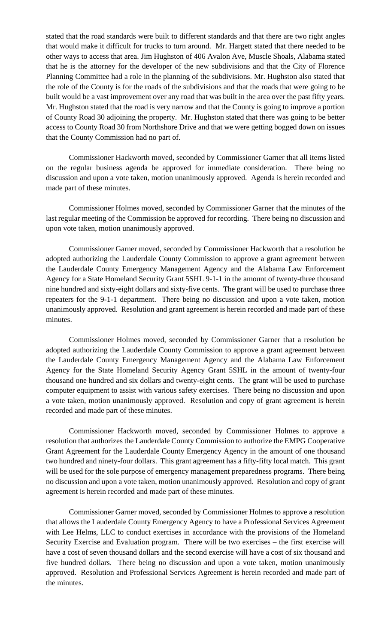stated that the road standards were built to different standards and that there are two right angles that would make it difficult for trucks to turn around. Mr. Hargett stated that there needed to be other ways to access that area. Jim Hughston of 406 Avalon Ave, Muscle Shoals, Alabama stated that he is the attorney for the developer of the new subdivisions and that the City of Florence Planning Committee had a role in the planning of the subdivisions. Mr. Hughston also stated that the role of the County is for the roads of the subdivisions and that the roads that were going to be built would be a vast improvement over any road that was built in the area over the past fifty years. Mr. Hughston stated that the road is very narrow and that the County is going to improve a portion of County Road 30 adjoining the property. Mr. Hughston stated that there was going to be better access to County Road 30 from Northshore Drive and that we were getting bogged down on issues that the County Commission had no part of.

 Commissioner Hackworth moved, seconded by Commissioner Garner that all items listed on the regular business agenda be approved for immediate consideration. There being no discussion and upon a vote taken, motion unanimously approved. Agenda is herein recorded and made part of these minutes.

 Commissioner Holmes moved, seconded by Commissioner Garner that the minutes of the last regular meeting of the Commission be approved for recording. There being no discussion and upon vote taken, motion unanimously approved.

 Commissioner Garner moved, seconded by Commissioner Hackworth that a resolution be adopted authorizing the Lauderdale County Commission to approve a grant agreement between the Lauderdale County Emergency Management Agency and the Alabama Law Enforcement Agency for a State Homeland Security Grant 5SHL 9-1-1 in the amount of twenty-three thousand nine hundred and sixty-eight dollars and sixty-five cents. The grant will be used to purchase three repeaters for the 9-1-1 department. There being no discussion and upon a vote taken, motion unanimously approved. Resolution and grant agreement is herein recorded and made part of these minutes.

 Commissioner Holmes moved, seconded by Commissioner Garner that a resolution be adopted authorizing the Lauderdale County Commission to approve a grant agreement between the Lauderdale County Emergency Management Agency and the Alabama Law Enforcement Agency for the State Homeland Security Agency Grant 5SHL in the amount of twenty-four thousand one hundred and six dollars and twenty-eight cents. The grant will be used to purchase computer equipment to assist with various safety exercises. There being no discussion and upon a vote taken, motion unanimously approved. Resolution and copy of grant agreement is herein recorded and made part of these minutes.

 Commissioner Hackworth moved, seconded by Commissioner Holmes to approve a resolution that authorizes the Lauderdale County Commission to authorize the EMPG Cooperative Grant Agreement for the Lauderdale County Emergency Agency in the amount of one thousand two hundred and ninety-four dollars. This grant agreement has a fifty-fifty local match. This grant will be used for the sole purpose of emergency management preparedness programs. There being no discussion and upon a vote taken, motion unanimously approved. Resolution and copy of grant agreement is herein recorded and made part of these minutes.

 Commissioner Garner moved, seconded by Commissioner Holmes to approve a resolution that allows the Lauderdale County Emergency Agency to have a Professional Services Agreement with Lee Helms, LLC to conduct exercises in accordance with the provisions of the Homeland Security Exercise and Evaluation program. There will be two exercises – the first exercise will have a cost of seven thousand dollars and the second exercise will have a cost of six thousand and five hundred dollars. There being no discussion and upon a vote taken, motion unanimously approved. Resolution and Professional Services Agreement is herein recorded and made part of the minutes.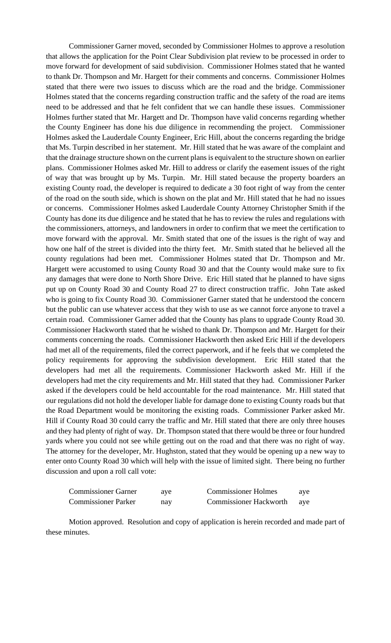Commissioner Garner moved, seconded by Commissioner Holmes to approve a resolution that allows the application for the Point Clear Subdivision plat review to be processed in order to move forward for development of said subdivision. Commissioner Holmes stated that he wanted to thank Dr. Thompson and Mr. Hargett for their comments and concerns. Commissioner Holmes stated that there were two issues to discuss which are the road and the bridge. Commissioner Holmes stated that the concerns regarding construction traffic and the safety of the road are items need to be addressed and that he felt confident that we can handle these issues. Commissioner Holmes further stated that Mr. Hargett and Dr. Thompson have valid concerns regarding whether the County Engineer has done his due diligence in recommending the project. Commissioner Holmes asked the Lauderdale County Engineer, Eric Hill, about the concerns regarding the bridge that Ms. Turpin described in her statement. Mr. Hill stated that he was aware of the complaint and that the drainage structure shown on the current plans is equivalent to the structure shown on earlier plans. Commissioner Holmes asked Mr. Hill to address or clarify the easement issues of the right of way that was brought up by Ms. Turpin. Mr. Hill stated because the property boarders an existing County road, the developer is required to dedicate a 30 foot right of way from the center of the road on the south side, which is shown on the plat and Mr. Hill stated that he had no issues or concerns. Commissioner Holmes asked Lauderdale County Attorney Christopher Smith if the County has done its due diligence and he stated that he has to review the rules and regulations with the commissioners, attorneys, and landowners in order to confirm that we meet the certification to move forward with the approval. Mr. Smith stated that one of the issues is the right of way and how one half of the street is divided into the thirty feet. Mr. Smith stated that he believed all the county regulations had been met. Commissioner Holmes stated that Dr. Thompson and Mr. Hargett were accustomed to using County Road 30 and that the County would make sure to fix any damages that were done to North Shore Drive. Eric Hill stated that he planned to have signs put up on County Road 30 and County Road 27 to direct construction traffic. John Tate asked who is going to fix County Road 30. Commissioner Garner stated that he understood the concern but the public can use whatever access that they wish to use as we cannot force anyone to travel a certain road. Commissioner Garner added that the County has plans to upgrade County Road 30. Commissioner Hackworth stated that he wished to thank Dr. Thompson and Mr. Hargett for their comments concerning the roads. Commissioner Hackworth then asked Eric Hill if the developers had met all of the requirements, filed the correct paperwork, and if he feels that we completed the policy requirements for approving the subdivision development. Eric Hill stated that the developers had met all the requirements. Commissioner Hackworth asked Mr. Hill if the developers had met the city requirements and Mr. Hill stated that they had. Commissioner Parker asked if the developers could be held accountable for the road maintenance. Mr. Hill stated that our regulations did not hold the developer liable for damage done to existing County roads but that the Road Department would be monitoring the existing roads. Commissioner Parker asked Mr. Hill if County Road 30 could carry the traffic and Mr. Hill stated that there are only three houses and they had plenty of right of way. Dr. Thompson stated that there would be three or four hundred yards where you could not see while getting out on the road and that there was no right of way. The attorney for the developer, Mr. Hughston, stated that they would be opening up a new way to enter onto County Road 30 which will help with the issue of limited sight. There being no further discussion and upon a roll call vote:

| <b>Commissioner Garner</b> | ave | <b>Commissioner Holmes</b>    | ave |
|----------------------------|-----|-------------------------------|-----|
| <b>Commissioner Parker</b> | nay | <b>Commissioner Hackworth</b> | ave |

 Motion approved. Resolution and copy of application is herein recorded and made part of these minutes.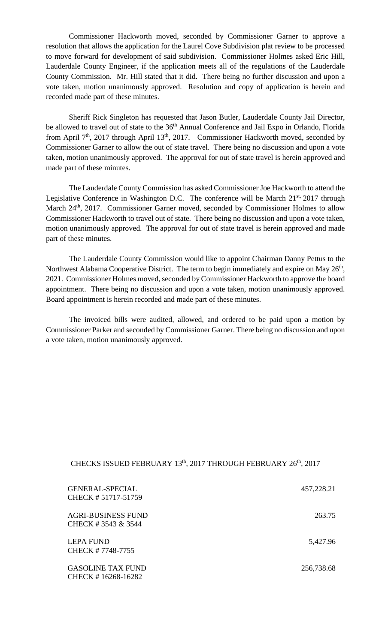Commissioner Hackworth moved, seconded by Commissioner Garner to approve a resolution that allows the application for the Laurel Cove Subdivision plat review to be processed to move forward for development of said subdivision. Commissioner Holmes asked Eric Hill, Lauderdale County Engineer, if the application meets all of the regulations of the Lauderdale County Commission. Mr. Hill stated that it did. There being no further discussion and upon a vote taken, motion unanimously approved. Resolution and copy of application is herein and recorded made part of these minutes.

 Sheriff Rick Singleton has requested that Jason Butler, Lauderdale County Jail Director, be allowed to travel out of state to the 36<sup>th</sup> Annual Conference and Jail Expo in Orlando, Florida from April  $7<sup>th</sup>$ , 2017 through April 13<sup>th</sup>, 2017. Commissioner Hackworth moved, seconded by Commissioner Garner to allow the out of state travel. There being no discussion and upon a vote taken, motion unanimously approved. The approval for out of state travel is herein approved and made part of these minutes.

 The Lauderdale County Commission has asked Commissioner Joe Hackworth to attend the Legislative Conference in Washington D.C. The conference will be March 21<sup>st,</sup> 2017 through March 24<sup>th</sup>, 2017. Commissioner Garner moved, seconded by Commissioner Holmes to allow Commissioner Hackworth to travel out of state. There being no discussion and upon a vote taken, motion unanimously approved. The approval for out of state travel is herein approved and made part of these minutes.

 The Lauderdale County Commission would like to appoint Chairman Danny Pettus to the Northwest Alabama Cooperative District. The term to begin immediately and expire on May 26<sup>th</sup>, 2021. Commissioner Holmes moved, seconded by Commissioner Hackworth to approve the board appointment. There being no discussion and upon a vote taken, motion unanimously approved. Board appointment is herein recorded and made part of these minutes.

The invoiced bills were audited, allowed, and ordered to be paid upon a motion by Commissioner Parker and seconded by Commissioner Garner. There being no discussion and upon a vote taken, motion unanimously approved.

## CHECKS ISSUED FEBRUARY 13<sup>th</sup>, 2017 THROUGH FEBRUARY 26<sup>th</sup>, 2017

| <b>GENERAL-SPECIAL</b><br>CHECK #51717-51759    | 457,228.21 |
|-------------------------------------------------|------------|
| <b>AGRI-BUSINESS FUND</b><br>CHECK #3543 & 3544 | 263.75     |
| <b>LEPA FUND</b><br>CHECK #7748-7755            | 5,427.96   |
| <b>GASOLINE TAX FUND</b><br>CHECK #16268-16282  | 256,738.68 |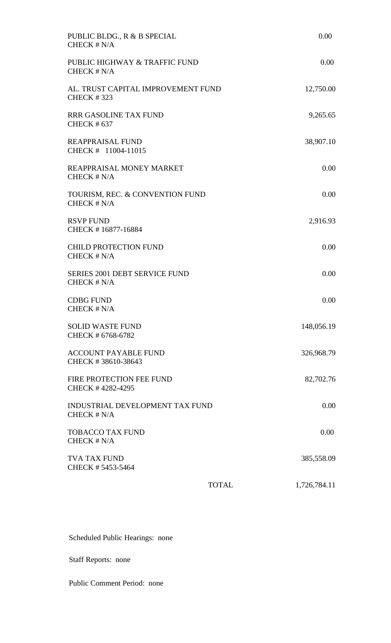| PUBLIC BLDG., R & B SPECIAL<br>CHECK # N/A              |              | 0.00         |
|---------------------------------------------------------|--------------|--------------|
| PUBLIC HIGHWAY & TRAFFIC FUND<br>CHECK $# N/A$          |              | 0.00         |
| AL. TRUST CAPITAL IMPROVEMENT FUND<br><b>CHECK #323</b> |              | 12,750.00    |
| RRR GASOLINE TAX FUND<br><b>CHECK #637</b>              |              | 9,265.65     |
| <b>REAPPRAISAL FUND</b><br>CHECK # 11004-11015          |              | 38,907.10    |
| REAPPRAISAL MONEY MARKET<br>CHECK # N/A                 |              | 0.00         |
| TOURISM, REC. & CONVENTION FUND<br>CHECK # N/A          |              | 0.00         |
| <b>RSVP FUND</b><br>CHECK #16877-16884                  |              | 2,916.93     |
| <b>CHILD PROTECTION FUND</b><br>CHECK # N/A             |              | 0.00         |
| <b>SERIES 2001 DEBT SERVICE FUND</b><br>CHECK # N/A     |              | 0.00         |
| <b>CDBG FUND</b><br>CHECK # N/A                         |              | 0.00         |
| <b>SOLID WASTE FUND</b><br>CHECK # 6768-6782            |              | 148,056.19   |
| <b>ACCOUNT PAYABLE FUND</b><br>CHECK #38610-38643       |              | 326,968.79   |
| FIRE PROTECTION FEE FUND<br>CHECK #4282-4295            |              | 82,702.76    |
| INDUSTRIAL DEVELOPMENT TAX FUND<br>CHECK # N/A          |              | 0.00         |
| <b>TOBACCO TAX FUND</b><br>CHECK # N/A                  |              | 0.00         |
| <b>TVA TAX FUND</b><br>CHECK #5453-5464                 |              | 385,558.09   |
|                                                         | <b>TOTAL</b> | 1,726,784.11 |

Scheduled Public Hearings: none

Staff Reports: none

Public Comment Period: none